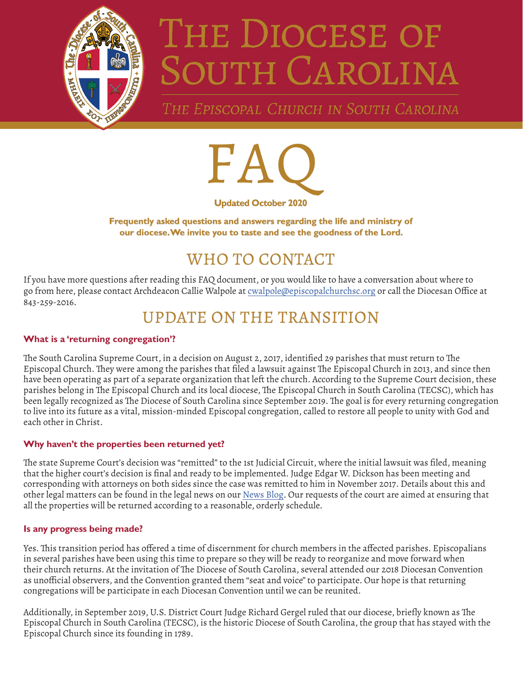

# THE DIOCESE OF SOUTH CAROLINA

THE EPISCOPAL CHURCH IN SOUTH CAROLINA



**Frequently asked questions and answers regarding the life and ministry of our diocese. We invite you to taste and see the goodness of the Lord.**

# WHO TO CONTACT

If you have more questions after reading this FAQ document, or you would like to have a conversation about where to go from here, please contact Archdeacon Callie Walpole at [cwalpole@episcopalchurchsc.org](mailto:cwalpole%40episcopalchurchsc.org?subject=) or call the Diocesan Office at 843-259-2016.

## UPDATE ON THE TRANSITION

#### **What is a 'returning congregation'?**

The South Carolina Supreme Court, in a decision on August 2, 2017, identified 29 parishes that must return to The Episcopal Church. They were among the parishes that filed a lawsuit against The Episcopal Church in 2013, and since then have been operating as part of a separate organization that left the church. According to the Supreme Court decision, these parishes belong in The Episcopal Church and its local diocese, The Episcopal Church in South Carolina (TECSC), which has been legally recognized as The Diocese of South Carolina since September 2019. The goal is for every returning congregation to live into its future as a vital, mission-minded Episcopal congregation, called to restore all people to unity with God and each other in Christ.

#### **Why haven't the properties been returned yet?**

The state Supreme Court's decision was "remitted" to the 1st Judicial Circuit, where the initial lawsuit was filed, meaning that the higher court's decision is final and ready to be implemented. Judge Edgar W. Dickson has been meeting and corresponding with attorneys on both sides since the case was remitted to him in November 2017. Details about this and other legal matters can be found in the legal news on our [News Blog](http://www.episcopalchurchsc.org/news-blog/category/legal-news). Our requests of the court are aimed at ensuring that all the properties will be returned according to a reasonable, orderly schedule.

#### **Is any progress being made?**

Yes. This transition period has offered a time of discernment for church members in the affected parishes. Episcopalians in several parishes have been using this time to prepare so they will be ready to reorganize and move forward when their church returns. At the invitation of The Diocese of South Carolina, several attended our 2018 Diocesan Convention as unofficial observers, and the Convention granted them "seat and voice" to participate. Our hope is that returning congregations will be participate in each Diocesan Convention until we can be reunited.

Additionally, in September 2019, U.S. District Court Judge Richard Gergel ruled that our diocese, briefly known as The Episcopal Church in South Carolina (TECSC), is the historic Diocese of South Carolina, the group that has stayed with the Episcopal Church since its founding in 1789.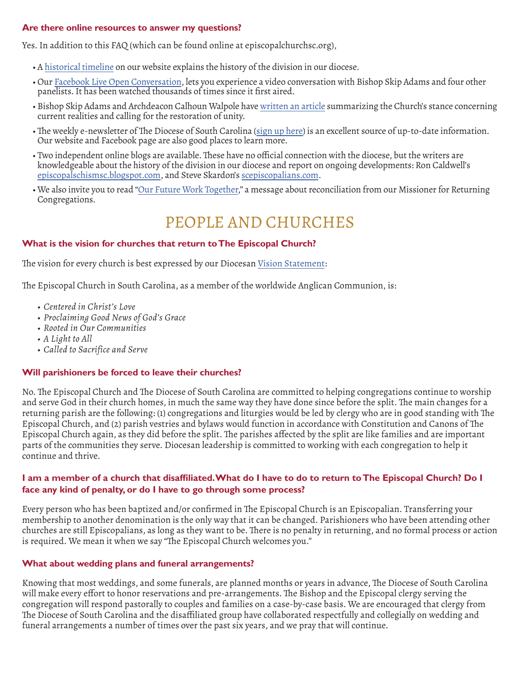#### **Are there online resources to answer my questions?**

Yes. In addition to this FAQ (which can be found online at episcopalchurchsc.org),

- A [historical timeline](http://www.episcopalchurchsc.org/historical-timeline.html) on our website explains the history of the division in our diocese.
- Our [Facebook Live Open Conversation,](https://www.facebook.com/watch/live/?v=1886790651357936&ref=watch_permalink) lets you experience a video conversation with Bishop Skip Adams and four other panelists. It has been watched thousands of times since it first aired.
- Bishop Skip Adams and Archdeacon Calhoun Walpole have [written an article](http://www.episcopalchurchsc.org/messages-from-bishop-adams/church-unity-from-the-bishop-archdeacon) summarizing the Church's stance concerning current realities and calling for the restoration of unity.
- The weekly e-newsletter of The Diocese of South Carolina [\(sign up here\)](https://episcopalchurchsc.us6.list-manage.com/subscribe?u=dc801ce41dd668e19fb3a3b7a&id=55715d0712) is an excellent source of up-to-date information. Our website and Facebook page are also good places to learn more.
- Two independent online blogs are available. These have no official connection with the diocese, but the writers are knowledgeable about the history of the division in our diocese and report on ongoing developments: Ron Caldwell's [episcopalschismsc.blogspot.com](http://episcopalschismsc.blogspot.com/), and Steve Skardon's [scepiscopalians.com](https://www.scepiscopalians.com/).
- We also invite you to read "[Our Future Work Together,](http://www.episcopalchurchsc.org/uploads/1/2/9/8/12989303/our_future_work_together_-_2018.pdf)" a message about reconciliation from our Missioner for Returning Congregations.

## PEOPLE AND CHURCHES

#### **What is the vision for churches that return to The Episcopal Church?**

The vision for every church is best expressed by our Diocesan [Vision Statement](http://www.episcopalchurchsc.org/our-vision.html):

The Episcopal Church in South Carolina, as a member of the worldwide Anglican Communion, is:

- *• Centered in Christ's Love*
- *• Proclaiming Good News of God's Grace*
- *• Rooted in Our Communities*
- *• A Light to All*
- *• Called to Sacrifice and Serve*

#### **Will parishioners be forced to leave their churches?**

No. The Episcopal Church and The Diocese of South Carolina are committed to helping congregations continue to worship and serve God in their church homes, in much the same way they have done since before the split. The main changes for a returning parish are the following: (1) congregations and liturgies would be led by clergy who are in good standing with The Episcopal Church, and (2) parish vestries and bylaws would function in accordance with Constitution and Canons of The Episcopal Church again, as they did before the split. The parishes affected by the split are like families and are important parts of the communities they serve. Diocesan leadership is committed to working with each congregation to help it continue and thrive.

#### **I am a member of a church that disaffiliated. What do I have to do to return to The Episcopal Church? Do I face any kind of penalty, or do I have to go through some process?**

Every person who has been baptized and/or confirmed in The Episcopal Church is an Episcopalian. Transferring your membership to another denomination is the only way that it can be changed. Parishioners who have been attending other churches are still Episcopalians, as long as they want to be. There is no penalty in returning, and no formal process or action is required. We mean it when we say "The Episcopal Church welcomes you."

#### **What about wedding plans and funeral arrangements?**

Knowing that most weddings, and some funerals, are planned months or years in advance, The Diocese of South Carolina will make every effort to honor reservations and pre-arrangements. The Bishop and the Episcopal clergy serving the congregation will respond pastorally to couples and families on a case-by-case basis. We are encouraged that clergy from The Diocese of South Carolina and the disaffiliated group have collaborated respectfully and collegially on wedding and funeral arrangements a number of times over the past six years, and we pray that will continue.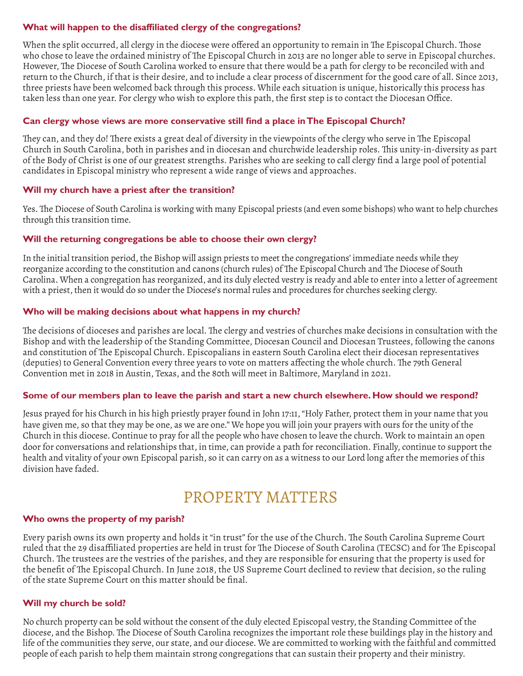#### **What will happen to the disaffiliated clergy of the congregations?**

When the split occurred, all clergy in the diocese were offered an opportunity to remain in The Episcopal Church. Those who chose to leave the ordained ministry of The Episcopal Church in 2013 are no longer able to serve in Episcopal churches. However, The Diocese of South Carolina worked to ensure that there would be a path for clergy to be reconciled with and return to the Church, if that is their desire, and to include a clear process of discernment for the good care of all. Since 2013, three priests have been welcomed back through this process. While each situation is unique, historically this process has taken less than one year. For clergy who wish to explore this path, the first step is to contact the Diocesan Office.

#### **Can clergy whose views are more conservative still find a place in The Episcopal Church?**

They can, and they do! There exists a great deal of diversity in the viewpoints of the clergy who serve in The Episcopal Church in South Carolina, both in parishes and in diocesan and churchwide leadership roles. This unity-in-diversity as part of the Body of Christ is one of our greatest strengths. Parishes who are seeking to call clergy find a large pool of potential candidates in Episcopal ministry who represent a wide range of views and approaches.

#### **Will my church have a priest after the transition?**

Yes. The Diocese of South Carolina is working with many Episcopal priests (and even some bishops) who want to help churches through this transition time.

#### **Will the returning congregations be able to choose their own clergy?**

In the initial transition period, the Bishop will assign priests to meet the congregations' immediate needs while they reorganize according to the constitution and canons (church rules) of The Episcopal Church and The Diocese of South Carolina. When a congregation has reorganized, and its duly elected vestry is ready and able to enter into a letter of agreement with a priest, then it would do so under the Diocese's normal rules and procedures for churches seeking clergy.

#### **Who will be making decisions about what happens in my church?**

The decisions of dioceses and parishes are local. The clergy and vestries of churches make decisions in consultation with the Bishop and with the leadership of the Standing Committee, Diocesan Council and Diocesan Trustees, following the canons and constitution of The Episcopal Church. Episcopalians in eastern South Carolina elect their diocesan representatives (deputies) to General Convention every three years to vote on matters affecting the whole church. The 79th General Convention met in 2018 in Austin, Texas, and the 80th will meet in Baltimore, Maryland in 2021.

#### **Some of our members plan to leave the parish and start a new church elsewhere. How should we respond?**

Jesus prayed for his Church in his high priestly prayer found in John 17:11, "Holy Father, protect them in your name that you have given me, so that they may be one, as we are one." We hope you will join your prayers with ours for the unity of the Church in this diocese. Continue to pray for all the people who have chosen to leave the church. Work to maintain an open door for conversations and relationships that, in time, can provide a path for reconciliation. Finally, continue to support the health and vitality of your own Episcopal parish, so it can carry on as a witness to our Lord long after the memories of this division have faded.

## PROPERTY MATTERS

#### **Who owns the property of my parish?**

Every parish owns its own property and holds it "in trust" for the use of the Church. The South Carolina Supreme Court ruled that the 29 disaffiliated properties are held in trust for The Diocese of South Carolina (TECSC) and for The Episcopal Church. The trustees are the vestries of the parishes, and they are responsible for ensuring that the property is used for the benefit of The Episcopal Church. In June 2018, the US Supreme Court declined to review that decision, so the ruling of the state Supreme Court on this matter should be final.

#### **Will my church be sold?**

No church property can be sold without the consent of the duly elected Episcopal vestry, the Standing Committee of the diocese, and the Bishop. The Diocese of South Carolina recognizes the important role these buildings play in the history and life of the communities they serve, our state, and our diocese. We are committed to working with the faithful and committed people of each parish to help them maintain strong congregations that can sustain their property and their ministry.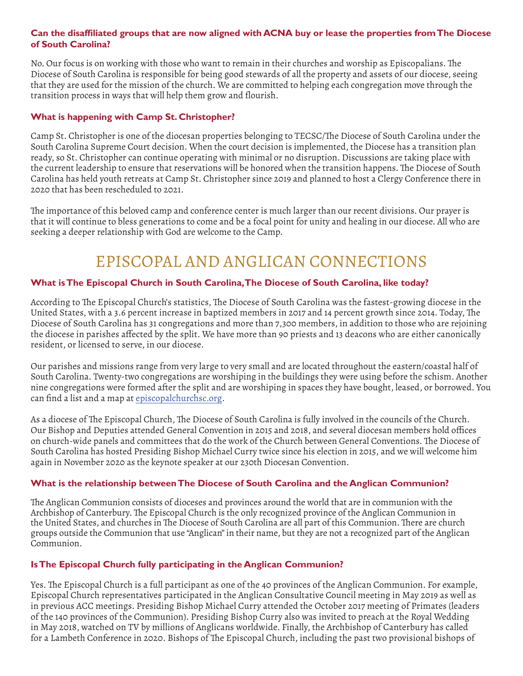#### **Can the disaffiliated groups that are now aligned with ACNA buy or lease the properties from The Diocese of South Carolina?**

No. Our focus is on working with those who want to remain in their churches and worship as Episcopalians. The Diocese of South Carolina is responsible for being good stewards of all the property and assets of our diocese, seeing that they are used for the mission of the church. We are committed to helping each congregation move through the transition process in ways that will help them grow and flourish.

#### **What is happening with Camp St. Christopher?**

Camp St. Christopher is one of the diocesan properties belonging to TECSC/The Diocese of South Carolina under the South Carolina Supreme Court decision. When the court decision is implemented, the Diocese has a transition plan ready, so St. Christopher can continue operating with minimal or no disruption. Discussions are taking place with the current leadership to ensure that reservations will be honored when the transition happens. The Diocese of South Carolina has held youth retreats at Camp St. Christopher since 2019 and planned to host a Clergy Conference there in 2020 that has been rescheduled to 2021.

The importance of this beloved camp and conference center is much larger than our recent divisions. Our prayer is that it will continue to bless generations to come and be a focal point for unity and healing in our diocese. All who are seeking a deeper relationship with God are welcome to the Camp.

## EPISCOPAL AND ANGLICAN CONNECTIONS

#### **What is The Episcopal Church in South Carolina, The Diocese of South Carolina, like today?**

According to The Episcopal Church's statistics, The Diocese of South Carolina was the fastest-growing diocese in the United States, with a 3.6 percent increase in baptized members in 2017 and 14 percent growth since 2014. Today, The Diocese of South Carolina has 31 congregations and more than 7,300 members, in addition to those who are rejoining the diocese in parishes affected by the split. We have more than 90 priests and 13 deacons who are either canonically resident, or licensed to serve, in our diocese.

Our parishes and missions range from very large to very small and are located throughout the eastern/coastal half of South Carolina. Twenty-two congregations are worshiping in the buildings they were using before the schism. Another nine congregations were formed after the split and are worshiping in spaces they have bought, leased, or borrowed. You can find a list and a map at [episcopalchurchsc.org](http://www.episcopalchurchsc.org/).

As a diocese of The Episcopal Church, The Diocese of South Carolina is fully involved in the councils of the Church. Our Bishop and Deputies attended General Convention in 2015 and 2018, and several diocesan members hold offices on church-wide panels and committees that do the work of the Church between General Conventions. The Diocese of South Carolina has hosted Presiding Bishop Michael Curry twice since his election in 2015, and we will welcome him again in November 2020 as the keynote speaker at our 230th Diocesan Convention.

#### **What is the relationship between The Diocese of South Carolina and the Anglican Communion?**

The Anglican Communion consists of dioceses and provinces around the world that are in communion with the Archbishop of Canterbury. The Episcopal Church is the only recognized province of the Anglican Communion in the United States, and churches in The Diocese of South Carolina are all part of this Communion. There are church groups outside the Communion that use "Anglican" in their name, but they are not a recognized part of the Anglican Communion.

#### **Is The Episcopal Church fully participating in the Anglican Communion?**

Yes. The Episcopal Church is a full participant as one of the 40 provinces of the Anglican Communion. For example, Episcopal Church representatives participated in the Anglican Consultative Council meeting in May 2019 as well as in previous ACC meetings. Presiding Bishop Michael Curry attended the October 2017 meeting of Primates (leaders of the 140 provinces of the Communion). Presiding Bishop Curry also was invited to preach at the Royal Wedding in May 2018, watched on TV by millions of Anglicans worldwide. Finally, the Archbishop of Canterbury has called for a Lambeth Conference in 2020. Bishops of The Episcopal Church, including the past two provisional bishops of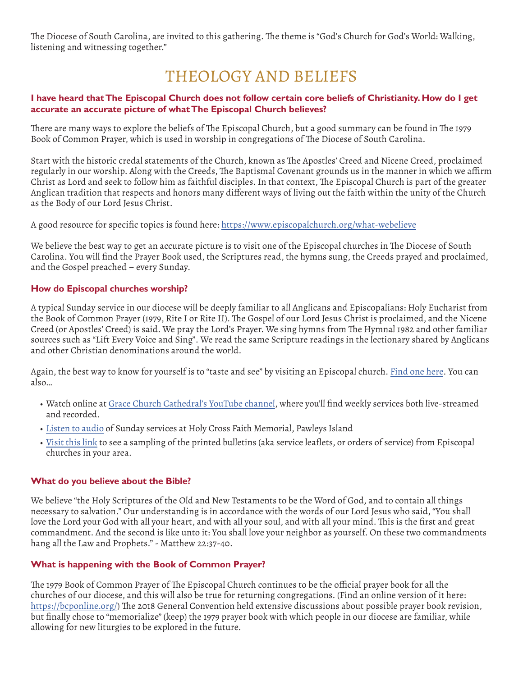The Diocese of South Carolina, are invited to this gathering. The theme is "God's Church for God's World: Walking, listening and witnessing together."

## THEOLOGY AND BELIEFS

#### **I have heard that The Episcopal Church does not follow certain core beliefs of Christianity. How do I get accurate an accurate picture of what The Episcopal Church believes?**

There are many ways to explore the beliefs of The Episcopal Church, but a good summary can be found in The 1979 Book of Common Prayer, which is used in worship in congregations of The Diocese of South Carolina.

Start with the historic credal statements of the Church, known as The Apostles' Creed and Nicene Creed, proclaimed regularly in our worship. Along with the Creeds, The Baptismal Covenant grounds us in the manner in which we affirm Christ as Lord and seek to follow him as faithful disciples. In that context, The Episcopal Church is part of the greater Anglican tradition that respects and honors many different ways of living out the faith within the unity of the Church as the Body of our Lord Jesus Christ.

A good resource for specific topics is found here: [https://www.episcopalchurch.org/what-webelieve](https://www.episcopalchurch.org/what-webelieve )

We believe the best way to get an accurate picture is to visit one of the Episcopal churches in The Diocese of South Carolina. You will find the Prayer Book used, the Scriptures read, the hymns sung, the Creeds prayed and proclaimed, and the Gospel preached – every Sunday.

#### **How do Episcopal churches worship?**

A typical Sunday service in our diocese will be deeply familiar to all Anglicans and Episcopalians: Holy Eucharist from the Book of Common Prayer (1979, Rite I or Rite II). The Gospel of our Lord Jesus Christ is proclaimed, and the Nicene Creed (or Apostles' Creed) is said. We pray the Lord's Prayer. We sing hymns from The Hymnal 1982 and other familiar sources such as "Lift Every Voice and Sing". We read the same Scripture readings in the lectionary shared by Anglicans and other Christian denominations around the world.

Again, the best way to know for yourself is to "taste and see" by visiting an Episcopal church. [Find one here](http://www.episcopalchurchsc.org/find-a-church.html). You can also…

- Watch online at [Grace Church Cathedral's YouTube channel](https://www.youtube.com/user/GraceChurchChrlstn), where you'll find weekly services both live-streamed and recorded.
- [Listen to audio](https://soundcloud.com/holy-cross-faith-memorial) of Sunday services at Holy Cross Faith Memorial, Pawleys Island
- [Visit this link](http://www.episcopalchurchsc.org/sunday-services.html) to see a sampling of the printed bulletins (aka service leaflets, or orders of service) from Episcopal churches in your area.

#### **What do you believe about the Bible?**

We believe "the Holy Scriptures of the Old and New Testaments to be the Word of God, and to contain all things necessary to salvation." Our understanding is in accordance with the words of our Lord Jesus who said, "You shall love the Lord your God with all your heart, and with all your soul, and with all your mind. This is the first and great commandment. And the second is like unto it: You shall love your neighbor as yourself. On these two commandments hang all the Law and Prophets." - Matthew 22:37-40.

#### **What is happening with the Book of Common Prayer?**

The 1979 Book of Common Prayer of The Episcopal Church continues to be the official prayer book for all the churches of our diocese, and this will also be true for returning congregations. (Find an online version of it here: <https://bcponline.org/>) The 2018 General Convention held extensive discussions about possible prayer book revision, but finally chose to "memorialize" (keep) the 1979 prayer book with which people in our diocese are familiar, while allowing for new liturgies to be explored in the future.